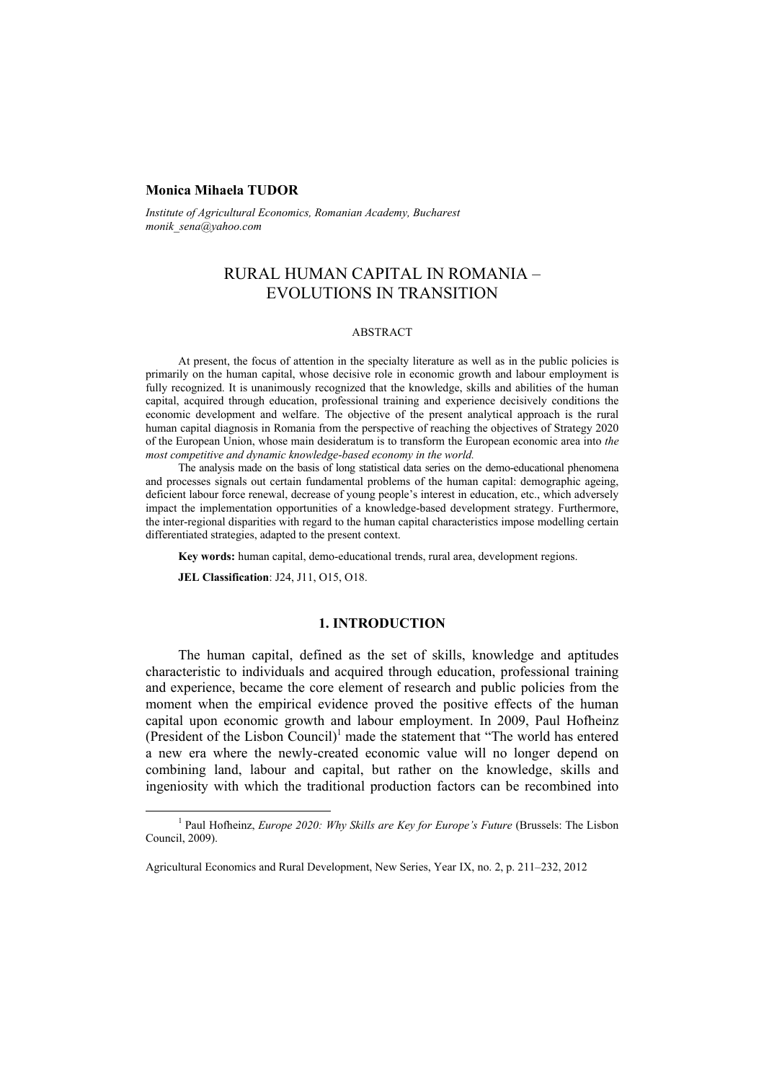#### **Monica Mihaela TUDOR**

*Institute of Agricultural Economics, Romanian Academy, Bucharest monik\_sena@yahoo.com* 

# RURAL HUMAN CAPITAL IN ROMANIA – EVOLUTIONS IN TRANSITION

#### ABSTRACT

At present, the focus of attention in the specialty literature as well as in the public policies is primarily on the human capital, whose decisive role in economic growth and labour employment is fully recognized. It is unanimously recognized that the knowledge, skills and abilities of the human capital, acquired through education, professional training and experience decisively conditions the economic development and welfare. The objective of the present analytical approach is the rural human capital diagnosis in Romania from the perspective of reaching the objectives of Strategy 2020 of the European Union, whose main desideratum is to transform the European economic area into *the most competitive and dynamic knowledge-based economy in the world.*

The analysis made on the basis of long statistical data series on the demo-educational phenomena and processes signals out certain fundamental problems of the human capital: demographic ageing, deficient labour force renewal, decrease of young people's interest in education, etc., which adversely impact the implementation opportunities of a knowledge-based development strategy. Furthermore, the inter-regional disparities with regard to the human capital characteristics impose modelling certain differentiated strategies, adapted to the present context.

**Key words:** human capital, demo-educational trends, rural area, development regions.

**JEL Classification**: J24, J11, O15, O18.

#### **1. INTRODUCTION**

The human capital, defined as the set of skills, knowledge and aptitudes characteristic to individuals and acquired through education, professional training and experience, became the core element of research and public policies from the moment when the empirical evidence proved the positive effects of the human capital upon economic growth and labour employment. In 2009, Paul Hofheinz (President of the Lisbon Council)<sup>1</sup> made the statement that "The world has entered a new era where the newly-created economic value will no longer depend on combining land, labour and capital, but rather on the knowledge, skills and ingeniosity with which the traditional production factors can be recombined into

<sup>&</sup>lt;u>1</u> <sup>1</sup> Paul Hofheinz, *Europe 2020: Why Skills are Key for Europe's Future* (Brussels: The Lisbon Council, 2009).

Agricultural Economics and Rural Development, New Series, Year IX, no. 2, p. 211–232, 2012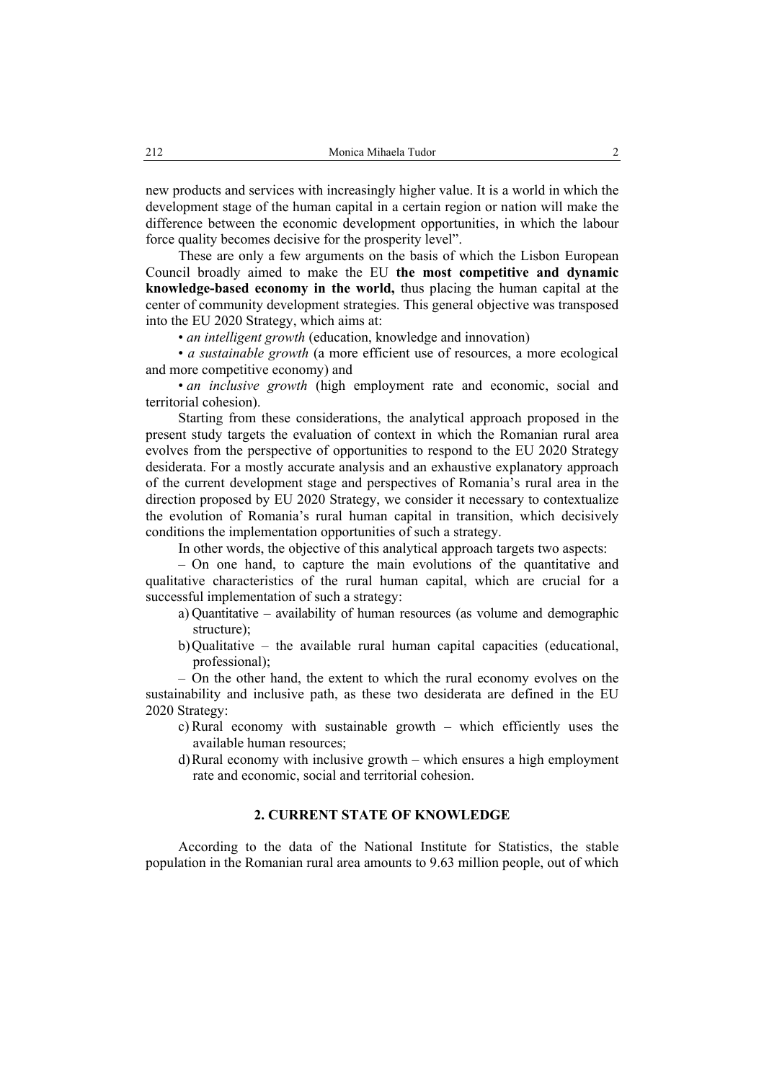new products and services with increasingly higher value. It is a world in which the development stage of the human capital in a certain region or nation will make the difference between the economic development opportunities, in which the labour force quality becomes decisive for the prosperity level".

These are only a few arguments on the basis of which the Lisbon European Council broadly aimed to make the EU **the most competitive and dynamic knowledge-based economy in the world,** thus placing the human capital at the center of community development strategies. This general objective was transposed into the EU 2020 Strategy, which aims at:

• *an intelligent growth* (education, knowledge and innovation)

• *a sustainable growth* (a more efficient use of resources, a more ecological and more competitive economy) and

• *an inclusive growth* (high employment rate and economic, social and territorial cohesion).

Starting from these considerations, the analytical approach proposed in the present study targets the evaluation of context in which the Romanian rural area evolves from the perspective of opportunities to respond to the EU 2020 Strategy desiderata. For a mostly accurate analysis and an exhaustive explanatory approach of the current development stage and perspectives of Romania's rural area in the direction proposed by EU 2020 Strategy, we consider it necessary to contextualize the evolution of Romania's rural human capital in transition, which decisively conditions the implementation opportunities of such a strategy.

In other words, the objective of this analytical approach targets two aspects:

– On one hand, to capture the main evolutions of the quantitative and qualitative characteristics of the rural human capital, which are crucial for a successful implementation of such a strategy:

a) Quantitative – availability of human resources (as volume and demographic structure);

b)Qualitative – the available rural human capital capacities (educational, professional);

– On the other hand, the extent to which the rural economy evolves on the sustainability and inclusive path, as these two desiderata are defined in the EU 2020 Strategy:

- c) Rural economy with sustainable growth which efficiently uses the available human resources;
- d)Rural economy with inclusive growth which ensures a high employment rate and economic, social and territorial cohesion.

#### **2. CURRENT STATE OF KNOWLEDGE**

According to the data of the National Institute for Statistics, the stable population in the Romanian rural area amounts to 9.63 million people, out of which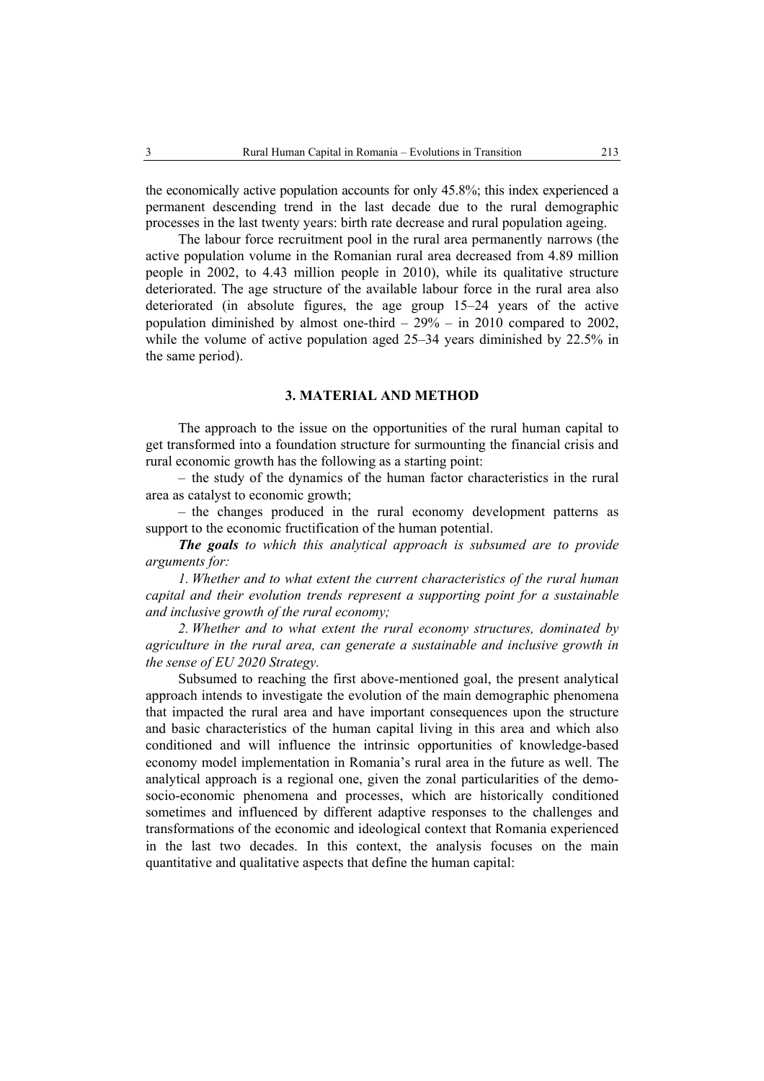the economically active population accounts for only 45.8%; this index experienced a permanent descending trend in the last decade due to the rural demographic processes in the last twenty years: birth rate decrease and rural population ageing.

The labour force recruitment pool in the rural area permanently narrows (the active population volume in the Romanian rural area decreased from 4.89 million people in 2002, to 4.43 million people in 2010), while its qualitative structure deteriorated. The age structure of the available labour force in the rural area also deteriorated (in absolute figures, the age group 15–24 years of the active population diminished by almost one-third – 29% – in 2010 compared to 2002, while the volume of active population aged 25–34 years diminished by 22.5% in the same period).

#### **3. MATERIAL AND METHOD**

The approach to the issue on the opportunities of the rural human capital to get transformed into a foundation structure for surmounting the financial crisis and rural economic growth has the following as a starting point:

– the study of the dynamics of the human factor characteristics in the rural area as catalyst to economic growth;

– the changes produced in the rural economy development patterns as support to the economic fructification of the human potential.

*The goals to which this analytical approach is subsumed are to provide arguments for:* 

*1. Whether and to what extent the current characteristics of the rural human capital and their evolution trends represent a supporting point for a sustainable and inclusive growth of the rural economy;* 

*2. Whether and to what extent the rural economy structures, dominated by agriculture in the rural area, can generate a sustainable and inclusive growth in the sense of EU 2020 Strategy.* 

Subsumed to reaching the first above-mentioned goal, the present analytical approach intends to investigate the evolution of the main demographic phenomena that impacted the rural area and have important consequences upon the structure and basic characteristics of the human capital living in this area and which also conditioned and will influence the intrinsic opportunities of knowledge-based economy model implementation in Romania's rural area in the future as well. The analytical approach is a regional one, given the zonal particularities of the demosocio-economic phenomena and processes, which are historically conditioned sometimes and influenced by different adaptive responses to the challenges and transformations of the economic and ideological context that Romania experienced in the last two decades. In this context, the analysis focuses on the main quantitative and qualitative aspects that define the human capital: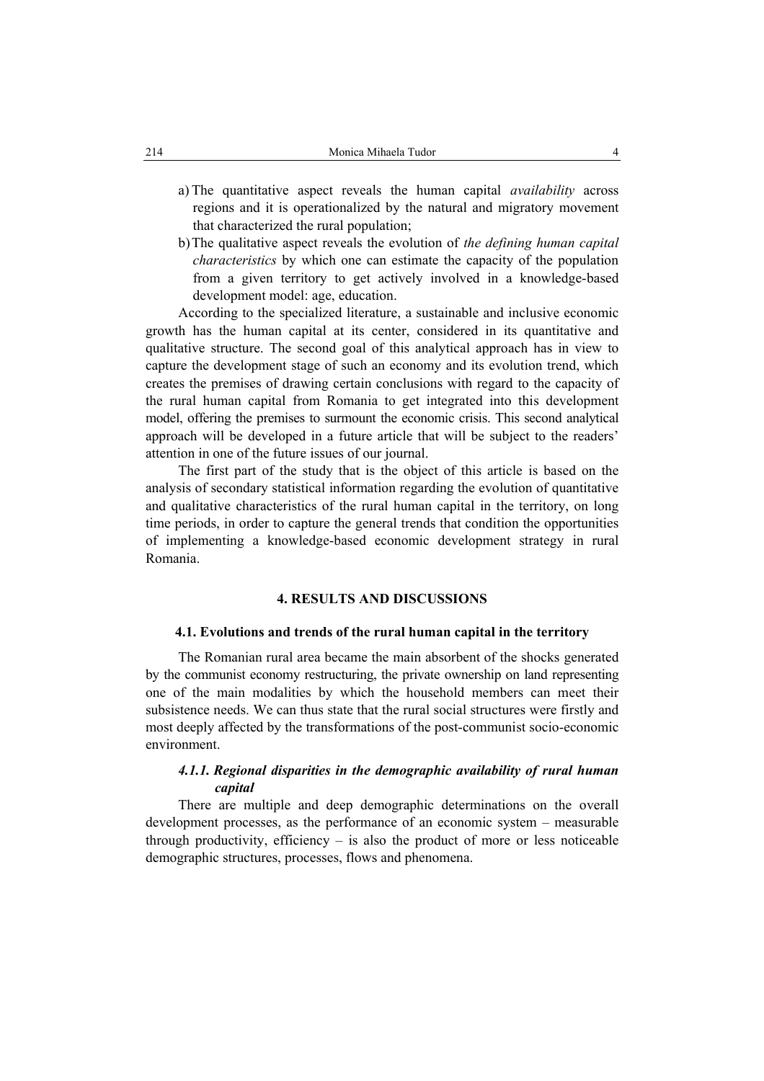- a) The quantitative aspect reveals the human capital *availability* across regions and it is operationalized by the natural and migratory movement that characterized the rural population;
- b)The qualitative aspect reveals the evolution of *the defining human capital characteristics* by which one can estimate the capacity of the population from a given territory to get actively involved in a knowledge-based development model: age, education.

According to the specialized literature, a sustainable and inclusive economic growth has the human capital at its center, considered in its quantitative and qualitative structure. The second goal of this analytical approach has in view to capture the development stage of such an economy and its evolution trend, which creates the premises of drawing certain conclusions with regard to the capacity of the rural human capital from Romania to get integrated into this development model, offering the premises to surmount the economic crisis. This second analytical approach will be developed in a future article that will be subject to the readers' attention in one of the future issues of our journal.

The first part of the study that is the object of this article is based on the analysis of secondary statistical information regarding the evolution of quantitative and qualitative characteristics of the rural human capital in the territory, on long time periods, in order to capture the general trends that condition the opportunities of implementing a knowledge-based economic development strategy in rural Romania.

## **4. RESULTS AND DISCUSSIONS**

#### **4.1. Evolutions and trends of the rural human capital in the territory**

The Romanian rural area became the main absorbent of the shocks generated by the communist economy restructuring, the private ownership on land representing one of the main modalities by which the household members can meet their subsistence needs. We can thus state that the rural social structures were firstly and most deeply affected by the transformations of the post-communist socio-economic environment.

## *4.1.1. Regional disparities in the demographic availability of rural human capital*

There are multiple and deep demographic determinations on the overall development processes, as the performance of an economic system – measurable through productivity, efficiency – is also the product of more or less noticeable demographic structures, processes, flows and phenomena.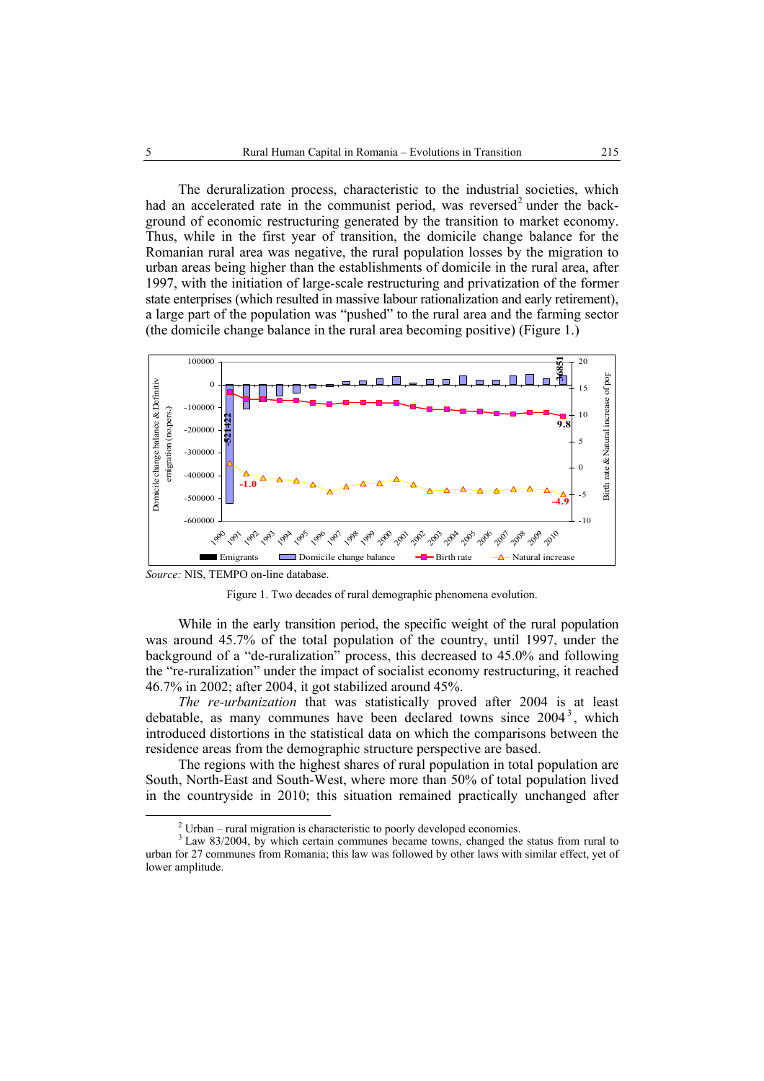The deruralization process, characteristic to the industrial societies, which had an accelerated rate in the communist period, was reversed<sup>2</sup> under the background of economic restructuring generated by the transition to market economy. Thus, while in the first year of transition, the domicile change balance for the Romanian rural area was negative, the rural population losses by the migration to urban areas being higher than the establishments of domicile in the rural area, after 1997, with the initiation of large-scale restructuring and privatization of the former state enterprises (which resulted in massive labour rationalization and early retirement), a large part of the population was "pushed" to the rural area and the farming sector (the domicile change balance in the rural area becoming positive) (Figure 1.)



*Source:* NIS, TEMPO on-line database.



While in the early transition period, the specific weight of the rural population was around 45.7% of the total population of the country, until 1997, under the background of a "de-ruralization" process, this decreased to 45.0% and following the "re-ruralization" under the impact of socialist economy restructuring, it reached 46.7% in 2002; after 2004, it got stabilized around 45%.

*The re-urbanization* that was statistically proved after 2004 is at least debatable, as many communes have been declared towns since  $2004^3$ , which introduced distortions in the statistical data on which the comparisons between the residence areas from the demographic structure perspective are based.

The regions with the highest shares of rural population in total population are South, North-East and South-West, where more than 50% of total population lived in the countryside in 2010; this situation remained practically unchanged after

 <sup>2</sup>  $\frac{2}{3}$  Urban – rural migration is characteristic to poorly developed economies.

<sup>&</sup>lt;sup>3</sup> Law 83/2004, by which certain communes became towns, changed the status from rural to urban for 27 communes from Romania; this law was followed by other laws with similar effect, yet of lower amplitude.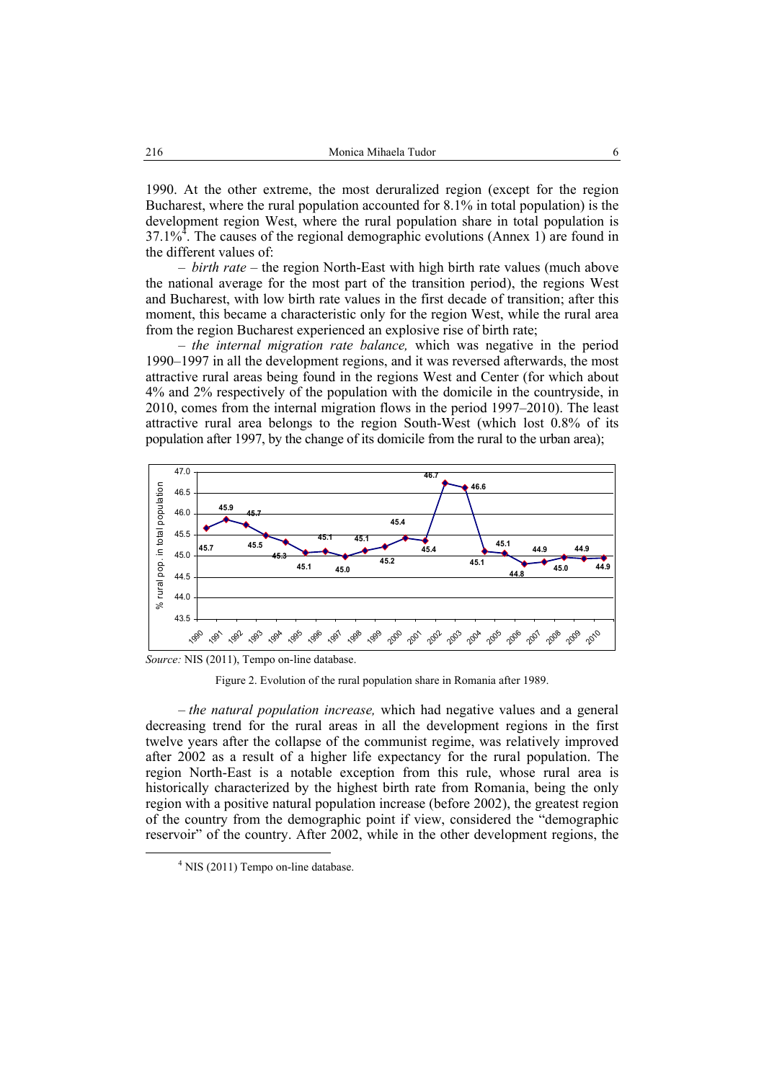1990. At the other extreme, the most deruralized region (except for the region Bucharest, where the rural population accounted for 8.1% in total population) is the development region West, where the rural population share in total population is  $37.1\%$ <sup>4</sup>. The causes of the regional demographic evolutions (Annex 1) are found in the different values of:

– *birth rate* – the region North-East with high birth rate values (much above the national average for the most part of the transition period), the regions West and Bucharest, with low birth rate values in the first decade of transition; after this moment, this became a characteristic only for the region West, while the rural area from the region Bucharest experienced an explosive rise of birth rate;

– *the internal migration rate balance,* which was negative in the period 1990–1997 in all the development regions, and it was reversed afterwards, the most attractive rural areas being found in the regions West and Center (for which about 4% and 2% respectively of the population with the domicile in the countryside, in 2010, comes from the internal migration flows in the period 1997–2010). The least attractive rural area belongs to the region South-West (which lost 0.8% of its population after 1997, by the change of its domicile from the rural to the urban area);



*Source:* NIS (2011), Tempo on-line database.

Figure 2. Evolution of the rural population share in Romania after 1989.

*– the natural population increase,* which had negative values and a general decreasing trend for the rural areas in all the development regions in the first twelve years after the collapse of the communist regime, was relatively improved after 2002 as a result of a higher life expectancy for the rural population. The region North-East is a notable exception from this rule, whose rural area is historically characterized by the highest birth rate from Romania, being the only region with a positive natural population increase (before 2002), the greatest region of the country from the demographic point if view, considered the "demographic reservoir" of the country. After 2002, while in the other development regions, the

 $\overline{4}$  $4$  NIS (2011) Tempo on-line database.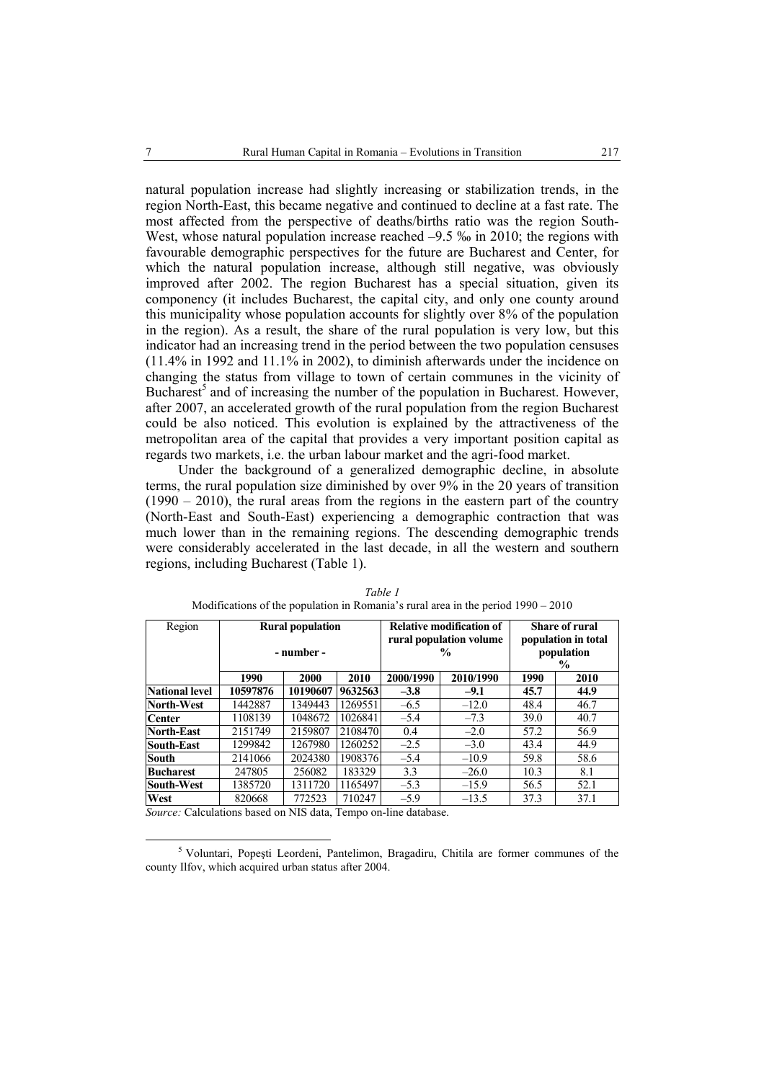natural population increase had slightly increasing or stabilization trends, in the region North-East, this became negative and continued to decline at a fast rate. The most affected from the perspective of deaths/births ratio was the region South-West, whose natural population increase reached  $-9.5$  ‰ in 2010; the regions with favourable demographic perspectives for the future are Bucharest and Center, for which the natural population increase, although still negative, was obviously improved after 2002. The region Bucharest has a special situation, given its componency (it includes Bucharest, the capital city, and only one county around this municipality whose population accounts for slightly over 8% of the population in the region). As a result, the share of the rural population is very low, but this indicator had an increasing trend in the period between the two population censuses (11.4% in 1992 and 11.1% in 2002), to diminish afterwards under the incidence on changing the status from village to town of certain communes in the vicinity of Bucharest<sup>5</sup> and of increasing the number of the population in Bucharest. However, after 2007, an accelerated growth of the rural population from the region Bucharest could be also noticed. This evolution is explained by the attractiveness of the metropolitan area of the capital that provides a very important position capital as regards two markets, i.e. the urban labour market and the agri-food market.

Under the background of a generalized demographic decline, in absolute terms, the rural population size diminished by over 9% in the 20 years of transition  $(1990 - 2010)$ , the rural areas from the regions in the eastern part of the country (North-East and South-East) experiencing a demographic contraction that was much lower than in the remaining regions. The descending demographic trends were considerably accelerated in the last decade, in all the western and southern regions, including Bucharest (Table 1).

| Region                | <b>Rural population</b><br>- number - |          |         |           | <b>Relative modification of</b><br>rural population volume<br>% | Share of rural<br>population in total<br>population<br>$\frac{6}{9}$ |      |  |
|-----------------------|---------------------------------------|----------|---------|-----------|-----------------------------------------------------------------|----------------------------------------------------------------------|------|--|
|                       | 1990                                  | 2000     | 2010    | 2000/1990 | 2010/1990                                                       | 1990                                                                 | 2010 |  |
| <b>National level</b> | 10597876                              | 10190607 | 9632563 | $-3.8$    | $-9.1$                                                          | 45.7                                                                 | 44.9 |  |
| North-West            | 1442887                               | 1349443  | 1269551 | $-6.5$    | $-12.0$                                                         | 48.4                                                                 | 46.7 |  |
| <b>Center</b>         | 1108139                               | 1048672  | 1026841 | $-5.4$    | $-7.3$                                                          | 39.0                                                                 | 40.7 |  |
| North-East            | 2151749                               | 2159807  | 2108470 | 0.4       | $-2.0$                                                          | 57.2                                                                 | 56.9 |  |
| <b>South-East</b>     | 1299842                               | 1267980  | 1260252 | $-2.5$    | $-3.0$                                                          | 43.4                                                                 | 44.9 |  |
| <b>South</b>          | 2141066                               | 2024380  | 1908376 | $-5.4$    | $-10.9$                                                         | 59.8                                                                 | 58.6 |  |
| <b>Bucharest</b>      | 247805                                | 256082   | 183329  | 3.3       | $-26.0$                                                         | 10.3                                                                 | 8.1  |  |
| <b>South-West</b>     | 1385720                               | 1311720  | 1165497 | $-5.3$    | $-15.9$                                                         | 56.5                                                                 | 52.1 |  |
| West                  | 820668<br>772523                      |          | 710247  | $-5.9$    | $-13.5$                                                         | 37.3                                                                 | 37.1 |  |

*Table 1*  Modifications of the population in Romania's rural area in the period 1990 – 2010

*Source:* Calculations based on NIS data, Tempo on-line database.

 $rac{1}{5}$ <sup>5</sup> Voluntari, Popești Leordeni, Pantelimon, Bragadiru, Chitila are former communes of the county Ilfov, which acquired urban status after 2004.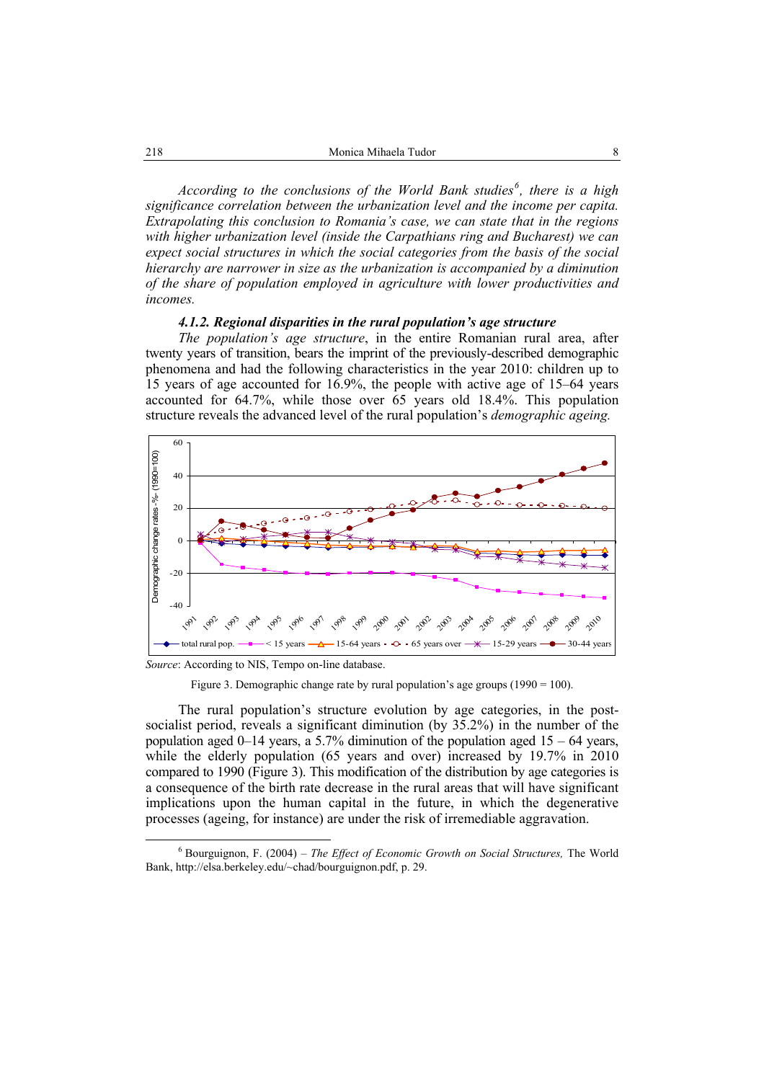*According to the conclusions of the World Bank studies<sup>6</sup> , there is a high significance correlation between the urbanization level and the income per capita. Extrapolating this conclusion to Romania's case, we can state that in the regions with higher urbanization level (inside the Carpathians ring and Bucharest) we can expect social structures in which the social categories from the basis of the social hierarchy are narrower in size as the urbanization is accompanied by a diminution of the share of population employed in agriculture with lower productivities and incomes.* 

### *4.1.2. Regional disparities in the rural population's age structure*

*The population's age structure*, in the entire Romanian rural area, after twenty years of transition, bears the imprint of the previously-described demographic phenomena and had the following characteristics in the year 2010: children up to 15 years of age accounted for 16.9%, the people with active age of 15–64 years accounted for 64.7%, while those over 65 years old 18.4%. This population structure reveals the advanced level of the rural population's *demographic ageing.* 



*Source*: According to NIS, Tempo on-line database.

Figure 3. Demographic change rate by rural population's age groups  $(1990 = 100)$ .

The rural population's structure evolution by age categories, in the postsocialist period, reveals a significant diminution (by 35.2%) in the number of the population aged  $0-14$  years, a 5.7% diminution of the population aged  $15 - 64$  years, while the elderly population (65 years and over) increased by 19.7% in 2010 compared to 1990 (Figure 3). This modification of the distribution by age categories is a consequence of the birth rate decrease in the rural areas that will have significant implications upon the human capital in the future, in which the degenerative processes (ageing, for instance) are under the risk of irremediable aggravation.

 $\overline{6}$  Bourguignon, F. (2004) – *The Effect of Economic Growth on Social Structures,* The World Bank, http://elsa.berkeley.edu/~chad/bourguignon.pdf, p. 29.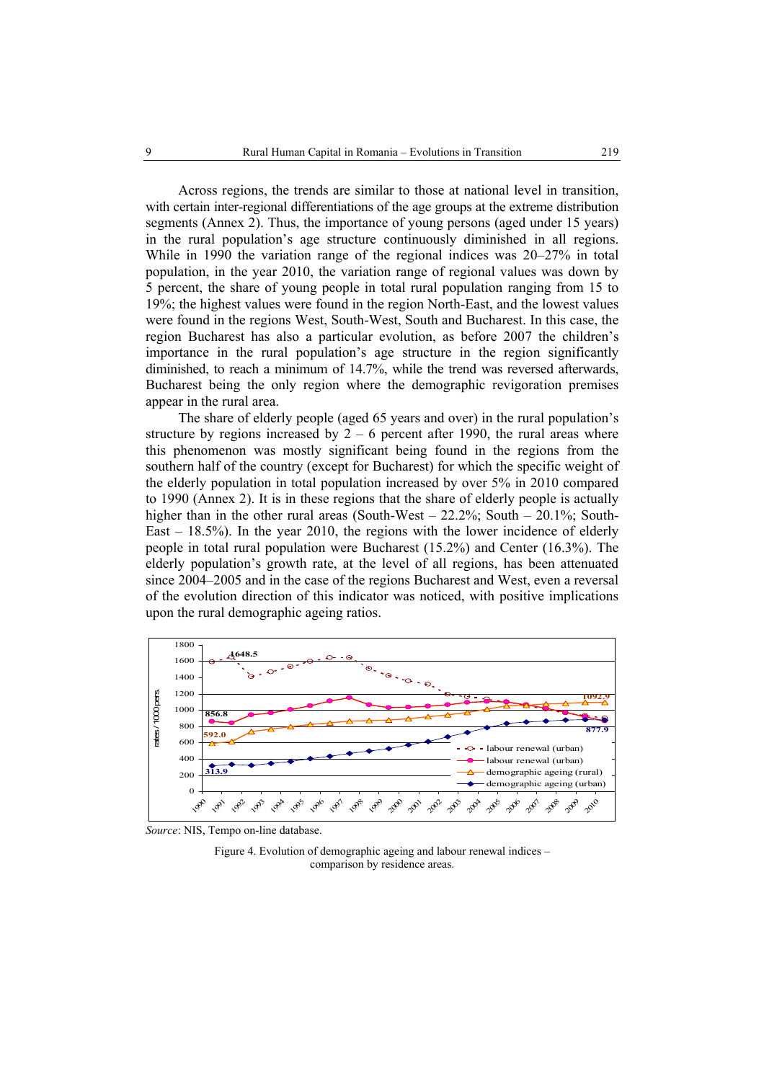Across regions, the trends are similar to those at national level in transition, with certain inter-regional differentiations of the age groups at the extreme distribution segments (Annex 2). Thus, the importance of young persons (aged under 15 years) in the rural population's age structure continuously diminished in all regions. While in 1990 the variation range of the regional indices was 20–27% in total population, in the year 2010, the variation range of regional values was down by 5 percent, the share of young people in total rural population ranging from 15 to 19%; the highest values were found in the region North-East, and the lowest values were found in the regions West, South-West, South and Bucharest. In this case, the region Bucharest has also a particular evolution, as before 2007 the children's importance in the rural population's age structure in the region significantly diminished, to reach a minimum of 14.7%, while the trend was reversed afterwards, Bucharest being the only region where the demographic revigoration premises appear in the rural area.

The share of elderly people (aged 65 years and over) in the rural population's structure by regions increased by  $2 - 6$  percent after 1990, the rural areas where this phenomenon was mostly significant being found in the regions from the southern half of the country (except for Bucharest) for which the specific weight of the elderly population in total population increased by over 5% in 2010 compared to 1990 (Annex 2). It is in these regions that the share of elderly people is actually higher than in the other rural areas (South-West  $-$  22.2%; South  $-$  20.1%; South-East – 18.5%). In the year 2010, the regions with the lower incidence of elderly people in total rural population were Bucharest (15.2%) and Center (16.3%). The elderly population's growth rate, at the level of all regions, has been attenuated since 2004–2005 and in the case of the regions Bucharest and West, even a reversal of the evolution direction of this indicator was noticed, with positive implications upon the rural demographic ageing ratios.



*Source*: NIS, Tempo on-line database.

Figure 4. Evolution of demographic ageing and labour renewal indices – comparison by residence areas.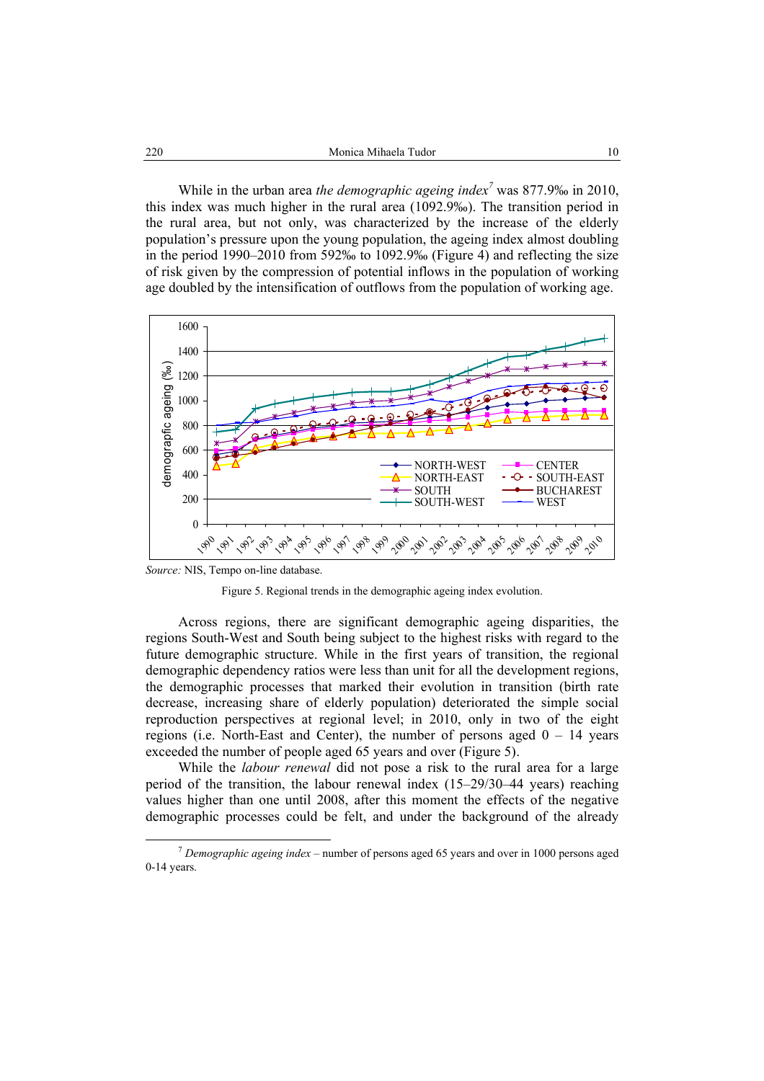While in the urban area *the demographic ageing index<sup>7</sup>* was 877.9‰ in 2010, this index was much higher in the rural area (1092.9‰). The transition period in the rural area, but not only, was characterized by the increase of the elderly population's pressure upon the young population, the ageing index almost doubling in the period 1990–2010 from 592‰ to 1092.9‰ (Figure 4) and reflecting the size of risk given by the compression of potential inflows in the population of working age doubled by the intensification of outflows from the population of working age.



*Source:* NIS, Tempo on-line database.



Across regions, there are significant demographic ageing disparities, the regions South-West and South being subject to the highest risks with regard to the future demographic structure. While in the first years of transition, the regional demographic dependency ratios were less than unit for all the development regions, the demographic processes that marked their evolution in transition (birth rate decrease, increasing share of elderly population) deteriorated the simple social reproduction perspectives at regional level; in 2010, only in two of the eight regions (i.e. North-East and Center), the number of persons aged  $0 - 14$  years exceeded the number of people aged 65 years and over (Figure 5).

While the *labour renewal* did not pose a risk to the rural area for a large period of the transition, the labour renewal index (15–29/30–44 years) reaching values higher than one until 2008, after this moment the effects of the negative demographic processes could be felt, and under the background of the already

 <sup>7</sup> *Demographic ageing index* – number of persons aged 65 years and over in 1000 persons aged 0-14 years.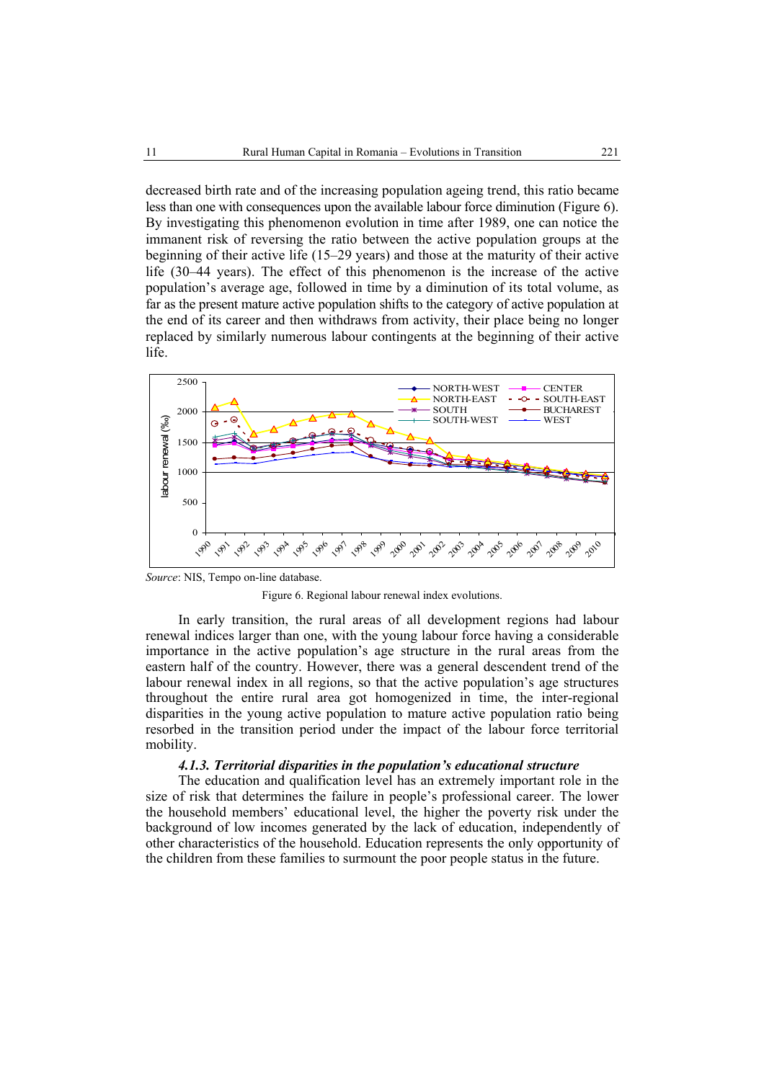decreased birth rate and of the increasing population ageing trend, this ratio became less than one with consequences upon the available labour force diminution (Figure 6). By investigating this phenomenon evolution in time after 1989, one can notice the immanent risk of reversing the ratio between the active population groups at the beginning of their active life (15–29 years) and those at the maturity of their active life (30–44 years). The effect of this phenomenon is the increase of the active population's average age, followed in time by a diminution of its total volume, as far as the present mature active population shifts to the category of active population at the end of its career and then withdraws from activity, their place being no longer replaced by similarly numerous labour contingents at the beginning of their active life.



*Source*: NIS, Tempo on-line database.

Figure 6. Regional labour renewal index evolutions.

In early transition, the rural areas of all development regions had labour renewal indices larger than one, with the young labour force having a considerable importance in the active population's age structure in the rural areas from the eastern half of the country. However, there was a general descendent trend of the labour renewal index in all regions, so that the active population's age structures throughout the entire rural area got homogenized in time, the inter-regional disparities in the young active population to mature active population ratio being resorbed in the transition period under the impact of the labour force territorial mobility.

#### *4.1.3. Territorial disparities in the population's educational structure*

The education and qualification level has an extremely important role in the size of risk that determines the failure in people's professional career. The lower the household members' educational level, the higher the poverty risk under the background of low incomes generated by the lack of education, independently of other characteristics of the household. Education represents the only opportunity of the children from these families to surmount the poor people status in the future.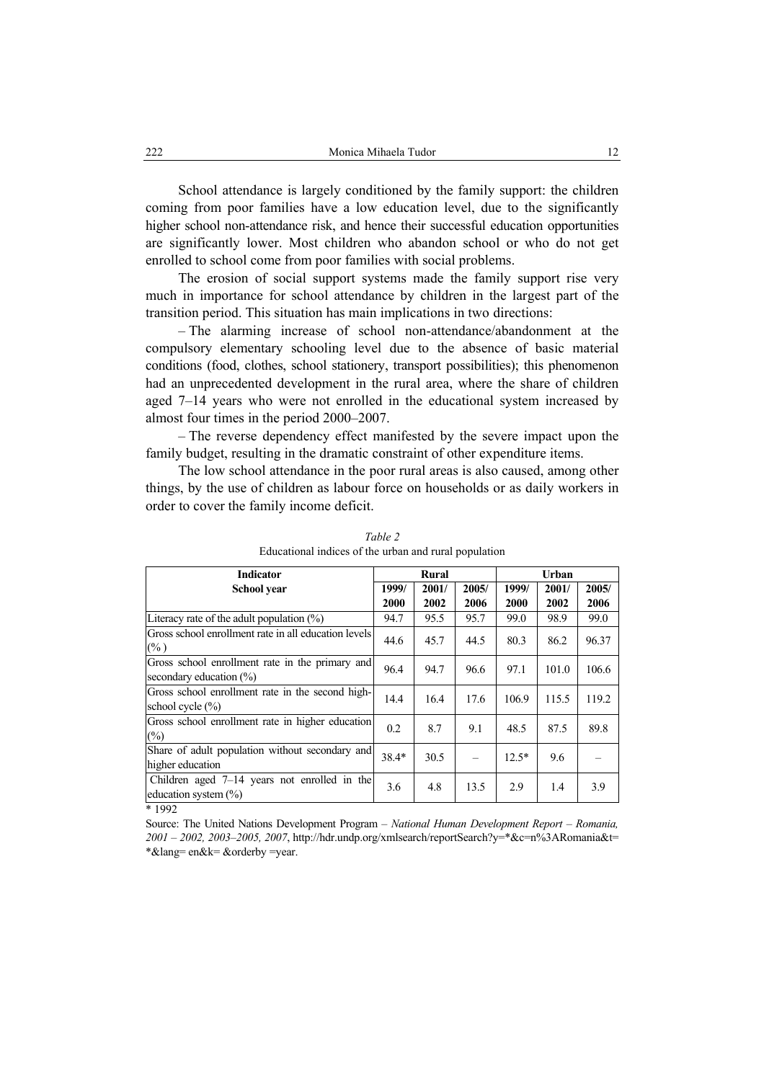School attendance is largely conditioned by the family support: the children coming from poor families have a low education level, due to the significantly higher school non-attendance risk, and hence their successful education opportunities are significantly lower. Most children who abandon school or who do not get enrolled to school come from poor families with social problems.

The erosion of social support systems made the family support rise very much in importance for school attendance by children in the largest part of the transition period. This situation has main implications in two directions:

– The alarming increase of school non-attendance/abandonment at the compulsory elementary schooling level due to the absence of basic material conditions (food, clothes, school stationery, transport possibilities); this phenomenon had an unprecedented development in the rural area, where the share of children aged 7–14 years who were not enrolled in the educational system increased by almost four times in the period 2000–2007.

– The reverse dependency effect manifested by the severe impact upon the family budget, resulting in the dramatic constraint of other expenditure items.

The low school attendance in the poor rural areas is also caused, among other things, by the use of children as labour force on households or as daily workers in order to cover the family income deficit.

| <b>Indicator</b>                                     |         | <b>Rural</b> |       | Urban   |       |       |  |  |
|------------------------------------------------------|---------|--------------|-------|---------|-------|-------|--|--|
| School year                                          | 1999/   | 2001/        | 2005/ | 1999/   | 2001/ | 2005/ |  |  |
|                                                      | 2000    | 2002         | 2006  | 2000    | 2002  | 2006  |  |  |
| Literacy rate of the adult population $(\%)$         | 94.7    | 95.5         | 95.7  | 99.0    | 98.9  | 99.0  |  |  |
| Gross school enrollment rate in all education levels |         | 45.7         | 44.5  | 80.3    | 86.2  | 96.37 |  |  |
| $(\% )$                                              | 44.6    |              |       |         |       |       |  |  |
| Gross school enrollment rate in the primary and      | 96.4    | 94.7         | 96.6  | 97.1    | 101.0 | 106.6 |  |  |
| secondary education $(\%)$                           |         |              |       |         |       |       |  |  |
| Gross school enrollment rate in the second high-     | 14.4    | 16.4         | 17.6  | 106.9   | 115.5 | 119.2 |  |  |
| school cycle $(\% )$                                 |         |              |       |         |       |       |  |  |
| Gross school enrollment rate in higher education     |         | 8.7          | 9.1   | 48.5    | 87.5  | 89.8  |  |  |
| $\frac{0}{0}$                                        | 0.2     |              |       |         |       |       |  |  |
| Share of adult population without secondary and      | $38.4*$ | 30.5         |       | $12.5*$ | 9.6   |       |  |  |
| higher education                                     |         |              |       |         |       |       |  |  |
| Children aged $7-14$ years not enrolled in the       | 3.6     | 4.8          | 13.5  | 2.9     | 1.4   | 3.9   |  |  |
| education system $(\% )$                             |         |              |       |         |       |       |  |  |
| * 1992                                               |         |              |       |         |       |       |  |  |

*Table 2*  Educational indices of the urban and rural population

Source: The United Nations Development Program – *National Human Development Report – Romania, 2001 – 2002, 2003–2005, 2007*, http://hdr.undp.org/xmlsearch/reportSearch?y=\*&c=n%3ARomania&t= \*&lang= en&k= &orderby =year.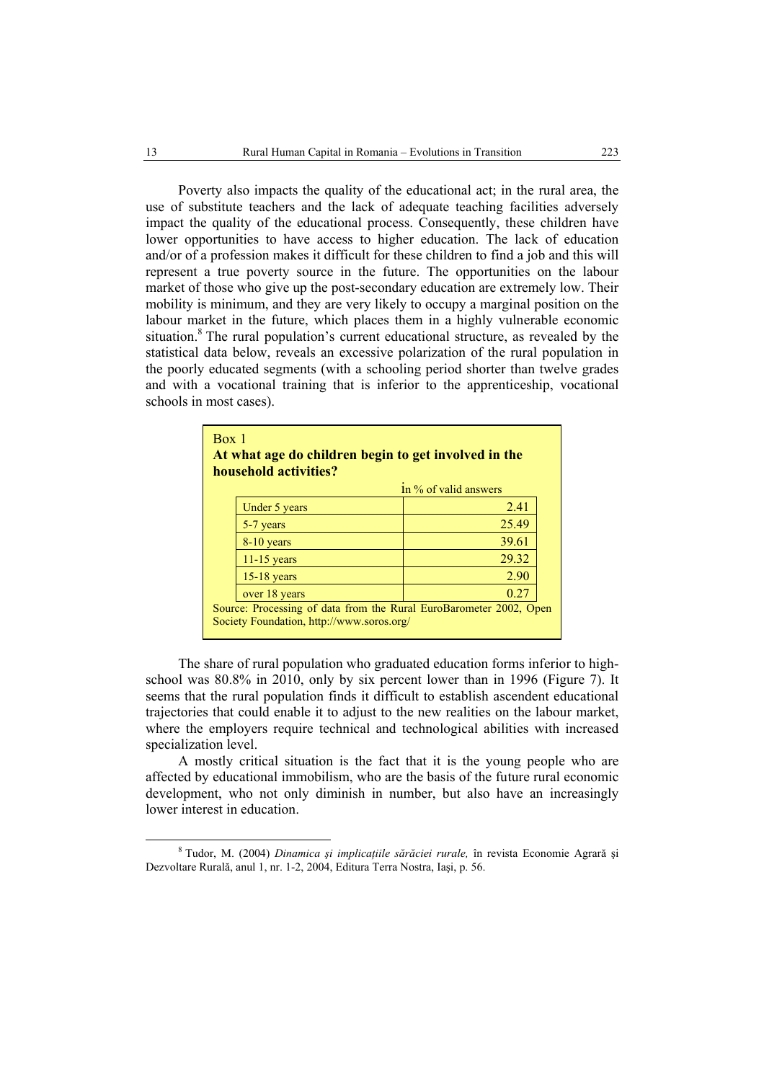Poverty also impacts the quality of the educational act; in the rural area, the use of substitute teachers and the lack of adequate teaching facilities adversely impact the quality of the educational process. Consequently, these children have lower opportunities to have access to higher education. The lack of education and/or of a profession makes it difficult for these children to find a job and this will represent a true poverty source in the future. The opportunities on the labour market of those who give up the post-secondary education are extremely low. Their mobility is minimum, and they are very likely to occupy a marginal position on the labour market in the future, which places them in a highly vulnerable economic situation.<sup>8</sup> The rural population's current educational structure, as revealed by the statistical data below, reveals an excessive polarization of the rural population in the poorly educated segments (with a schooling period shorter than twelve grades and with a vocational training that is inferior to the apprenticeship, vocational schools in most cases).

| Box 1 | household activities?                     | At what age do children begin to get involved in the               |
|-------|-------------------------------------------|--------------------------------------------------------------------|
|       |                                           | 1n % of valid answers                                              |
|       | Under 5 years                             | 2.41                                                               |
|       | 5-7 years                                 | 25.49                                                              |
|       | 8-10 years                                | 39.61                                                              |
|       | $11-15$ years                             | 29.32                                                              |
|       | $15-18$ years                             | 2.90                                                               |
|       | over 18 years                             | 0.27                                                               |
|       | Society Foundation, http://www.soros.org/ | Source: Processing of data from the Rural EuroBarometer 2002, Open |

The share of rural population who graduated education forms inferior to highschool was 80.8% in 2010, only by six percent lower than in 1996 (Figure 7). It seems that the rural population finds it difficult to establish ascendent educational trajectories that could enable it to adjust to the new realities on the labour market, where the employers require technical and technological abilities with increased specialization level.

A mostly critical situation is the fact that it is the young people who are affected by educational immobilism, who are the basis of the future rural economic development, who not only diminish in number, but also have an increasingly lower interest in education.

 $\frac{8}{3}$  Tudor, M. (2004) *Dinamica şi implicaţiile sărăciei rurale,* în revista Economie Agrară şi Dezvoltare Rurală, anul 1, nr. 1-2, 2004, Editura Terra Nostra, Iaşi, p. 56.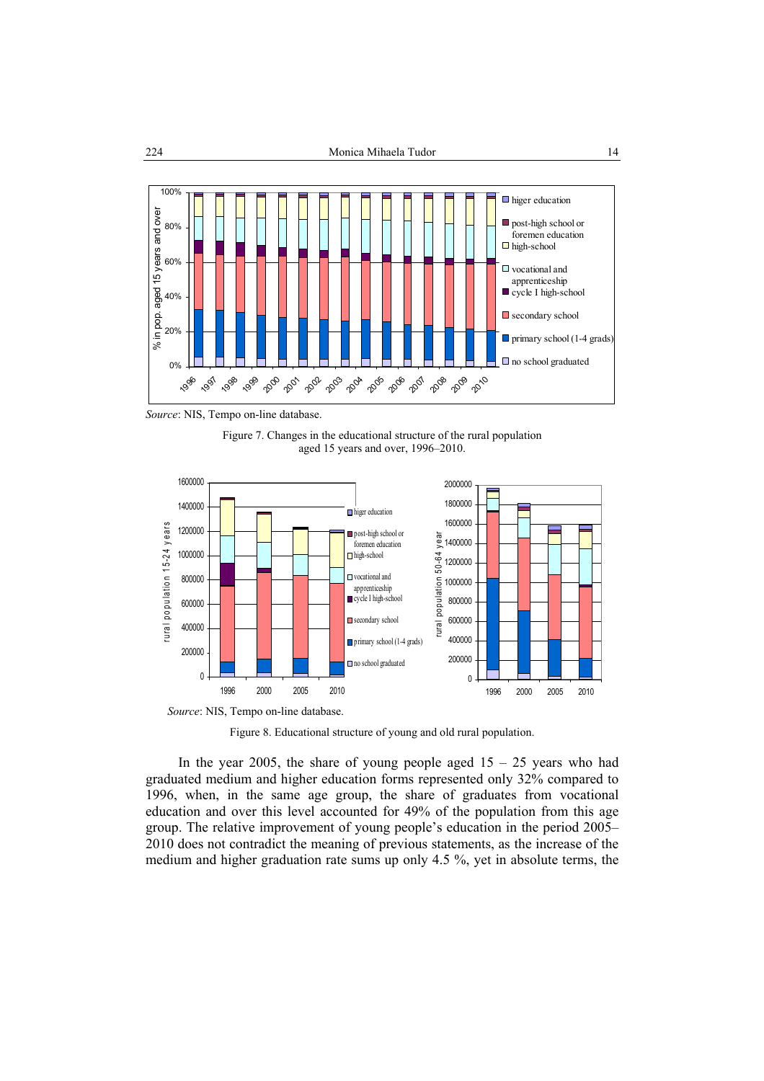

*Source*: NIS, Tempo on-line database.





*Source*: NIS, Tempo on-line database.

Figure 8. Educational structure of young and old rural population.

In the year 2005, the share of young people aged  $15 - 25$  years who had graduated medium and higher education forms represented only 32% compared to 1996, when, in the same age group, the share of graduates from vocational education and over this level accounted for 49% of the population from this age group. The relative improvement of young people's education in the period 2005– 2010 does not contradict the meaning of previous statements, as the increase of the medium and higher graduation rate sums up only 4.5 %, yet in absolute terms, the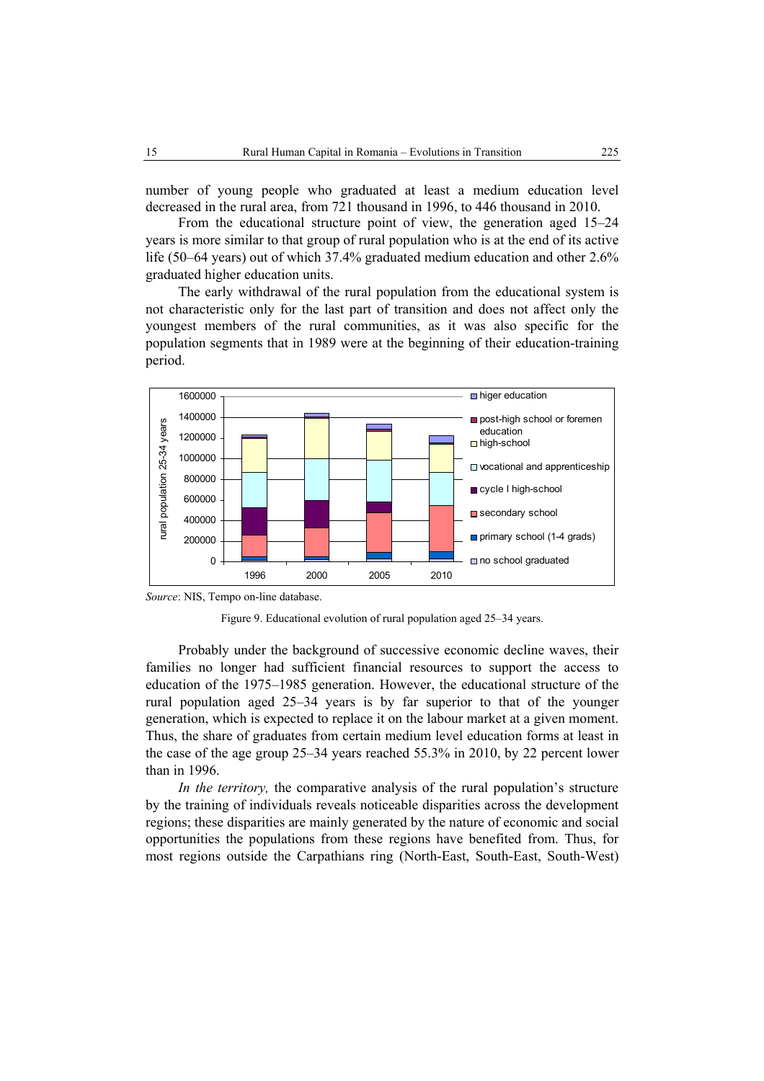number of young people who graduated at least a medium education level decreased in the rural area, from 721 thousand in 1996, to 446 thousand in 2010.

From the educational structure point of view, the generation aged 15–24 years is more similar to that group of rural population who is at the end of its active life (50–64 years) out of which 37.4% graduated medium education and other 2.6% graduated higher education units.

The early withdrawal of the rural population from the educational system is not characteristic only for the last part of transition and does not affect only the youngest members of the rural communities, as it was also specific for the population segments that in 1989 were at the beginning of their education-training period.



*Source*: NIS, Tempo on-line database.



Probably under the background of successive economic decline waves, their families no longer had sufficient financial resources to support the access to education of the 1975–1985 generation. However, the educational structure of the rural population aged 25–34 years is by far superior to that of the younger generation, which is expected to replace it on the labour market at a given moment. Thus, the share of graduates from certain medium level education forms at least in the case of the age group 25–34 years reached 55.3% in 2010, by 22 percent lower than in 1996.

*In the territory,* the comparative analysis of the rural population's structure by the training of individuals reveals noticeable disparities across the development regions; these disparities are mainly generated by the nature of economic and social opportunities the populations from these regions have benefited from. Thus, for most regions outside the Carpathians ring (North-East, South-East, South-West)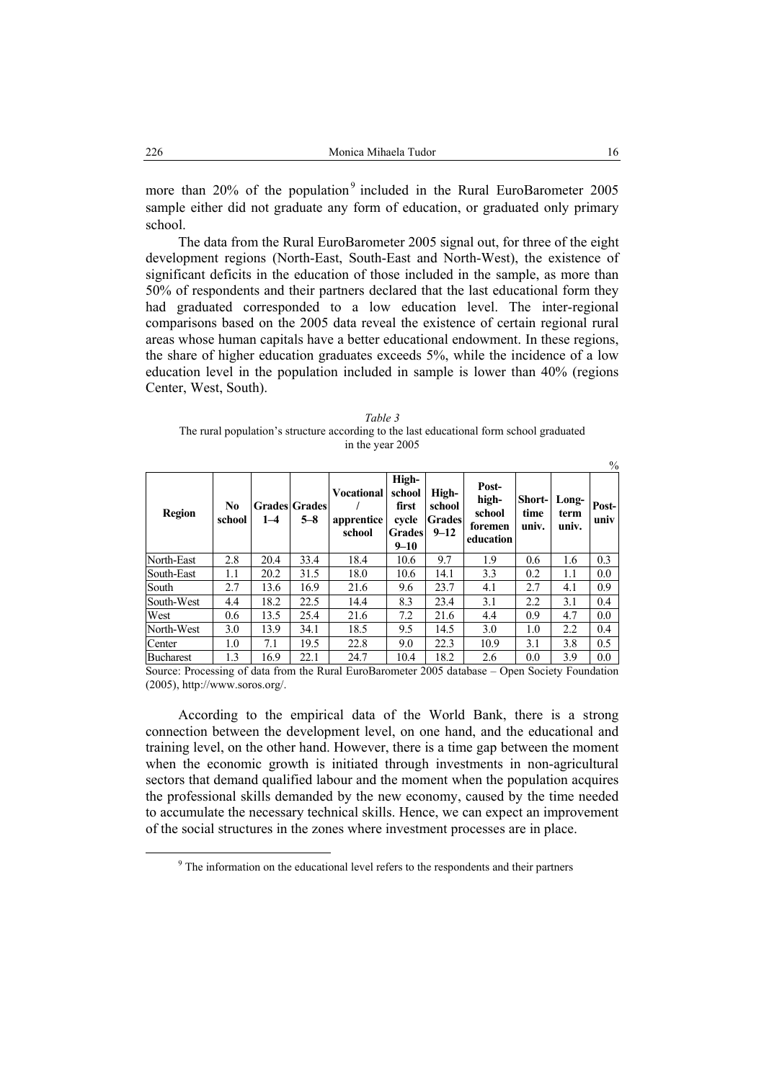more than  $20\%$  of the population<sup>9</sup> included in the Rural EuroBarometer 2005 sample either did not graduate any form of education, or graduated only primary school.

The data from the Rural EuroBarometer 2005 signal out, for three of the eight development regions (North-East, South-East and North-West), the existence of significant deficits in the education of those included in the sample, as more than 50% of respondents and their partners declared that the last educational form they had graduated corresponded to a low education level. The inter-regional comparisons based on the 2005 data reveal the existence of certain regional rural areas whose human capitals have a better educational endowment. In these regions, the share of higher education graduates exceeds 5%, while the incidence of a low education level in the population included in sample is lower than 40% (regions Center, West, South).

| Table 3                                                                                  |
|------------------------------------------------------------------------------------------|
| The rural population's structure according to the last educational form school graduated |
| in the year 2005                                                                         |

|                  |              |         |                                 |                                           |                                                                |                                              |                                                  |                         |                        | $\%$          |
|------------------|--------------|---------|---------------------------------|-------------------------------------------|----------------------------------------------------------------|----------------------------------------------|--------------------------------------------------|-------------------------|------------------------|---------------|
| <b>Region</b>    | No<br>school | $1 - 4$ | <b>Grades Grades</b><br>$5 - 8$ | <b>Vocational</b><br>apprentice<br>school | High-<br>school<br>first<br>cvcle<br><b>Grades</b><br>$9 - 10$ | High-<br>school<br><b>Grades</b><br>$9 - 12$ | Post-<br>high-<br>school<br>foremen<br>education | Short-<br>time<br>univ. | Long-<br>term<br>univ. | Post-<br>univ |
| North-East       | 2.8          | 20.4    | 33.4                            | 18.4                                      | 10.6                                                           | 9.7                                          | 1.9                                              | 0.6                     | 1.6                    | 0.3           |
| South-East       | 1.1          | 20.2    | 31.5                            | 18.0                                      | 10.6                                                           | 14.1                                         | 3.3                                              | 0.2                     | 1.1                    | 0.0           |
| South            | 2.7          | 13.6    | 16.9                            | 21.6                                      | 9.6                                                            | 23.7                                         | 4.1                                              | 2.7                     | 4.1                    | 0.9           |
| South-West       | 4.4          | 18.2    | 22.5                            | 14.4                                      | 8.3                                                            | 23.4                                         | 3.1                                              | 2.2                     | 3.1                    | 0.4           |
| West             | 0.6          | 13.5    | 25.4                            | 21.6                                      | 7.2                                                            | 21.6                                         | 4.4                                              | 0.9                     | 4.7                    | 0.0           |
| North-West       | 3.0          | 13.9    | 34.1                            | 18.5                                      | 9.5                                                            | 14.5                                         | 3.0                                              | 1.0                     | 2.2                    | 0.4           |
| Center           | 1.0          | 7.1     | 19.5                            | 22.8                                      | 9.0                                                            | 22.3                                         | 10.9                                             | 3.1                     | 3.8                    | 0.5           |
| <b>Bucharest</b> | 1.3          | 16.9    | 22.1                            | 24.7                                      | 10.4                                                           | 18.2                                         | 2.6                                              | 0.0                     | 3.9                    | 0.0           |

Source: Processing of data from the Rural EuroBarometer 2005 database – Open Society Foundation (2005), http://www.soros.org/.

According to the empirical data of the World Bank, there is a strong connection between the development level, on one hand, and the educational and training level, on the other hand. However, there is a time gap between the moment when the economic growth is initiated through investments in non-agricultural sectors that demand qualified labour and the moment when the population acquires the professional skills demanded by the new economy, caused by the time needed to accumulate the necessary technical skills. Hence, we can expect an improvement of the social structures in the zones where investment processes are in place.

 <sup>9</sup>  $9<sup>9</sup>$  The information on the educational level refers to the respondents and their partners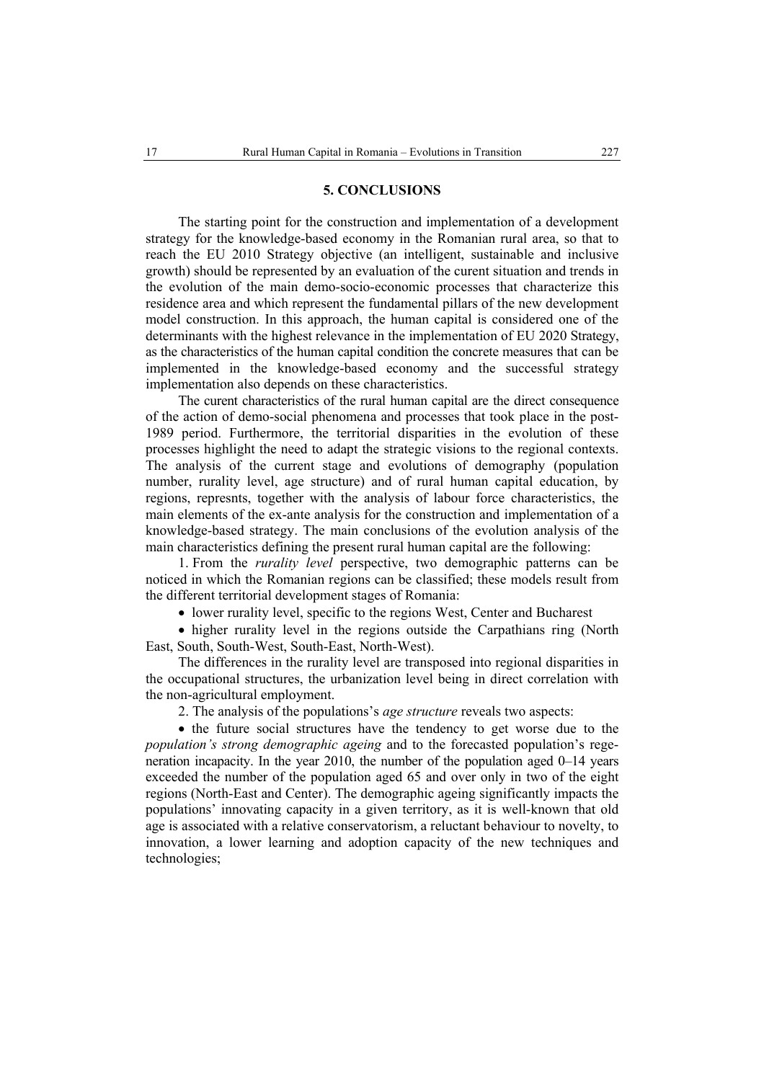#### **5. CONCLUSIONS**

The starting point for the construction and implementation of a development strategy for the knowledge-based economy in the Romanian rural area, so that to reach the EU 2010 Strategy objective (an intelligent, sustainable and inclusive growth) should be represented by an evaluation of the curent situation and trends in the evolution of the main demo-socio-economic processes that characterize this residence area and which represent the fundamental pillars of the new development model construction. In this approach, the human capital is considered one of the determinants with the highest relevance in the implementation of EU 2020 Strategy, as the characteristics of the human capital condition the concrete measures that can be implemented in the knowledge-based economy and the successful strategy implementation also depends on these characteristics.

The curent characteristics of the rural human capital are the direct consequence of the action of demo-social phenomena and processes that took place in the post-1989 period. Furthermore, the territorial disparities in the evolution of these processes highlight the need to adapt the strategic visions to the regional contexts. The analysis of the current stage and evolutions of demography (population number, rurality level, age structure) and of rural human capital education, by regions, represnts, together with the analysis of labour force characteristics, the main elements of the ex-ante analysis for the construction and implementation of a knowledge-based strategy. The main conclusions of the evolution analysis of the main characteristics defining the present rural human capital are the following:

1. From the *rurality level* perspective, two demographic patterns can be noticed in which the Romanian regions can be classified; these models result from the different territorial development stages of Romania:

• lower rurality level, specific to the regions West, Center and Bucharest

• higher rurality level in the regions outside the Carpathians ring (North East, South, South-West, South-East, North-West).

The differences in the rurality level are transposed into regional disparities in the occupational structures, the urbanization level being in direct correlation with the non-agricultural employment.

2. The analysis of the populations's *age structure* reveals two aspects:

• the future social structures have the tendency to get worse due to the *population's strong demographic ageing* and to the forecasted population's regeneration incapacity. In the year 2010, the number of the population aged 0–14 years exceeded the number of the population aged 65 and over only in two of the eight regions (North-East and Center). The demographic ageing significantly impacts the populations' innovating capacity in a given territory, as it is well-known that old age is associated with a relative conservatorism, a reluctant behaviour to novelty, to innovation, a lower learning and adoption capacity of the new techniques and technologies;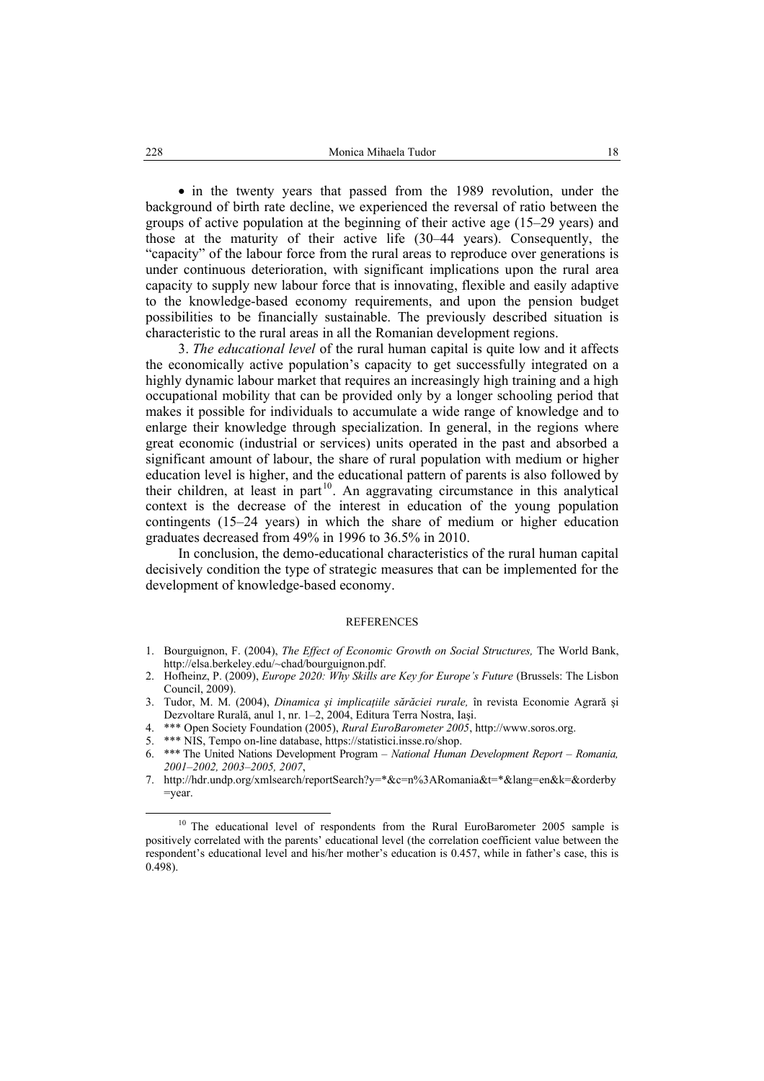• in the twenty years that passed from the 1989 revolution, under the background of birth rate decline, we experienced the reversal of ratio between the groups of active population at the beginning of their active age (15–29 years) and those at the maturity of their active life (30–44 years). Consequently, the "capacity" of the labour force from the rural areas to reproduce over generations is under continuous deterioration, with significant implications upon the rural area capacity to supply new labour force that is innovating, flexible and easily adaptive to the knowledge-based economy requirements, and upon the pension budget possibilities to be financially sustainable. The previously described situation is characteristic to the rural areas in all the Romanian development regions.

3. *The educational level* of the rural human capital is quite low and it affects the economically active population's capacity to get successfully integrated on a highly dynamic labour market that requires an increasingly high training and a high occupational mobility that can be provided only by a longer schooling period that makes it possible for individuals to accumulate a wide range of knowledge and to enlarge their knowledge through specialization. In general, in the regions where great economic (industrial or services) units operated in the past and absorbed a significant amount of labour, the share of rural population with medium or higher education level is higher, and the educational pattern of parents is also followed by their children, at least in part<sup>10</sup>. An aggravating circumstance in this analytical context is the decrease of the interest in education of the young population contingents (15–24 years) in which the share of medium or higher education graduates decreased from 49% in 1996 to 36.5% in 2010.

In conclusion, the demo-educational characteristics of the rural human capital decisively condition the type of strategic measures that can be implemented for the development of knowledge-based economy.

#### REFERENCES

- 1. Bourguignon, F. (2004), *The Effect of Economic Growth on Social Structures,* The World Bank, http://elsa.berkeley.edu/~chad/bourguignon.pdf.
- 2. Hofheinz, P. (2009), *Europe 2020: Why Skills are Key for Europe's Future* (Brussels: The Lisbon Council, 2009).
- 3. Tudor, M. M. (2004), *Dinamica şi implicaţiile sărăciei rurale,* în revista Economie Agrară şi Dezvoltare Rurală, anul 1, nr. 1–2, 2004, Editura Terra Nostra, Iaşi.
- 4. \*\*\* Open Society Foundation (2005), *Rural EuroBarometer 2005*, http://www.soros.org.
- 5. \*\*\* NIS, Tempo on-line database, https://statistici.insse.ro/shop.

<sup>6.</sup> \*\*\* The United Nations Development Program – *National Human Development Report – Romania, 2001–2002, 2003–2005, 2007*,

<sup>7.</sup> http://hdr.undp.org/xmlsearch/reportSearch?y=\*&c=n%3ARomania&t=\*&lang=en&k=&orderby =year.

<sup>&</sup>lt;sup>10</sup> The educational level of respondents from the Rural EuroBarometer 2005 sample is positively correlated with the parents' educational level (the correlation coefficient value between the respondent's educational level and his/her mother's education is 0.457, while in father's case, this is 0.498).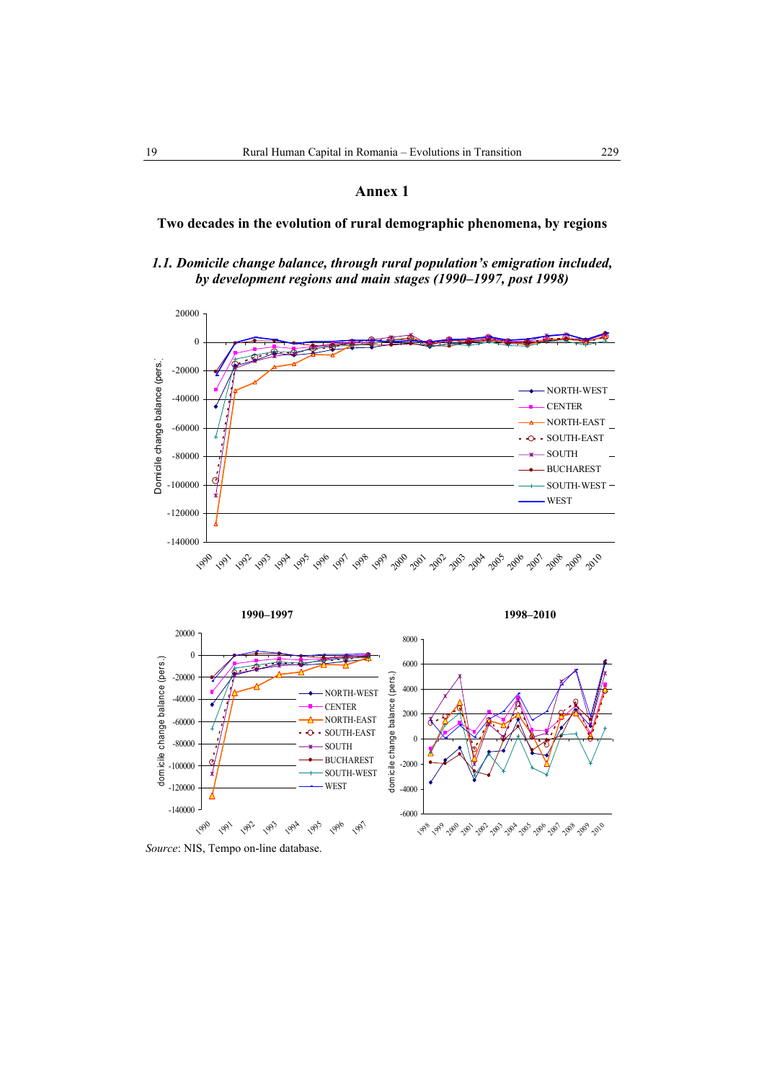**Two decades in the evolution of rural demographic phenomena, by regions** 

*1.1. Domicile change balance, through rural population's emigration included, by development regions and main stages (1990–1997, post 1998)* 





*Source*: NIS, Tempo on-line database.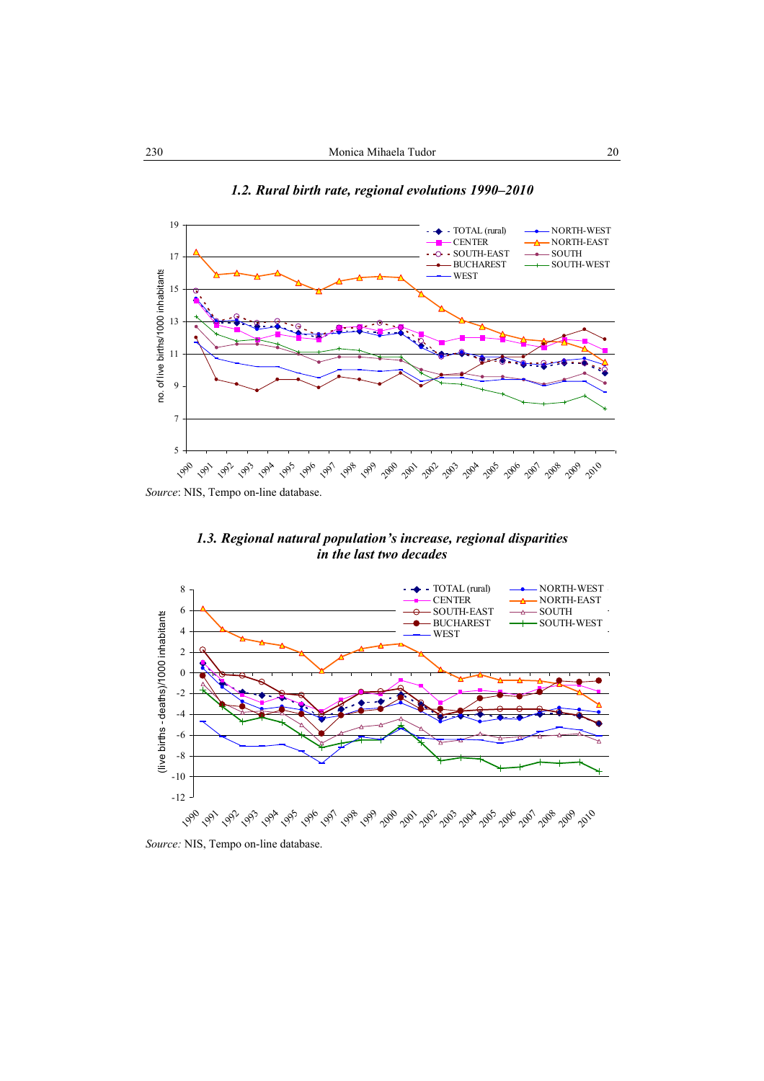

*1.2. Rural birth rate, regional evolutions 1990–2010* 



*in the last two decades* 



*Source:* NIS, Tempo on-line database.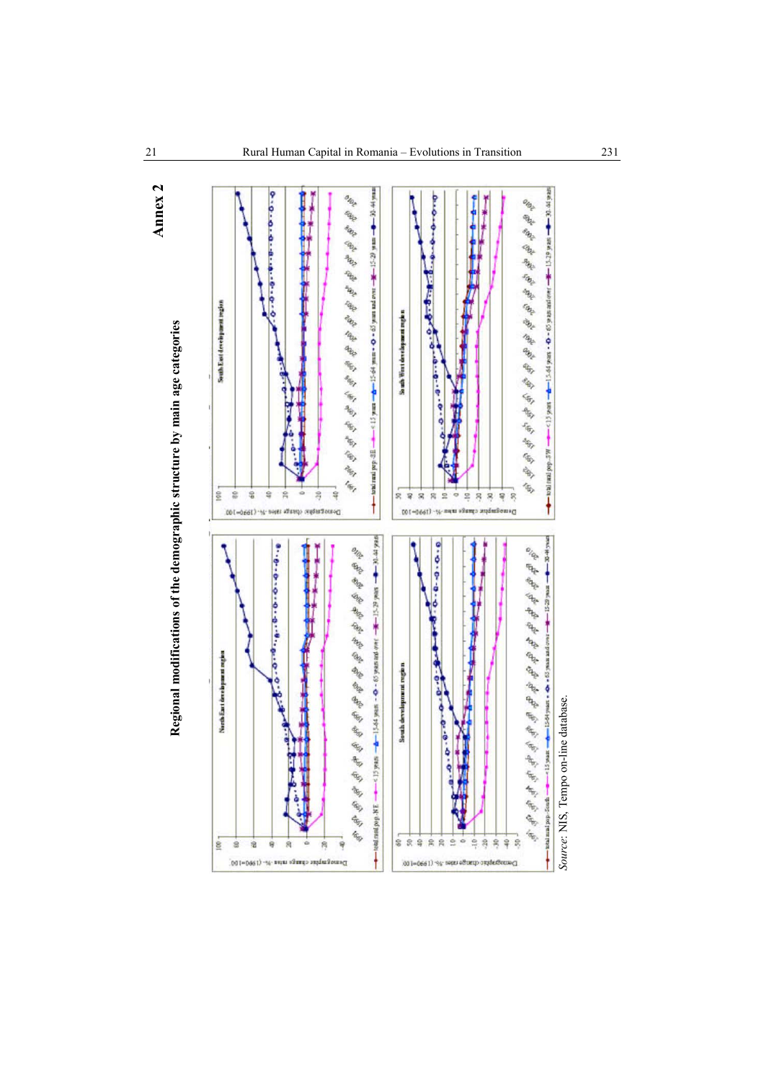



 $-80.44 \text{ years}$ 

-\* 15.29 years

ı

M.S-6od pass pass

ŧ

30.44

ą

ä

ë ¢

*Source*: NIS, Tempo on-line database.

Source: NIS, Tempo on-line database.

stod man pop-

**Annex 2**